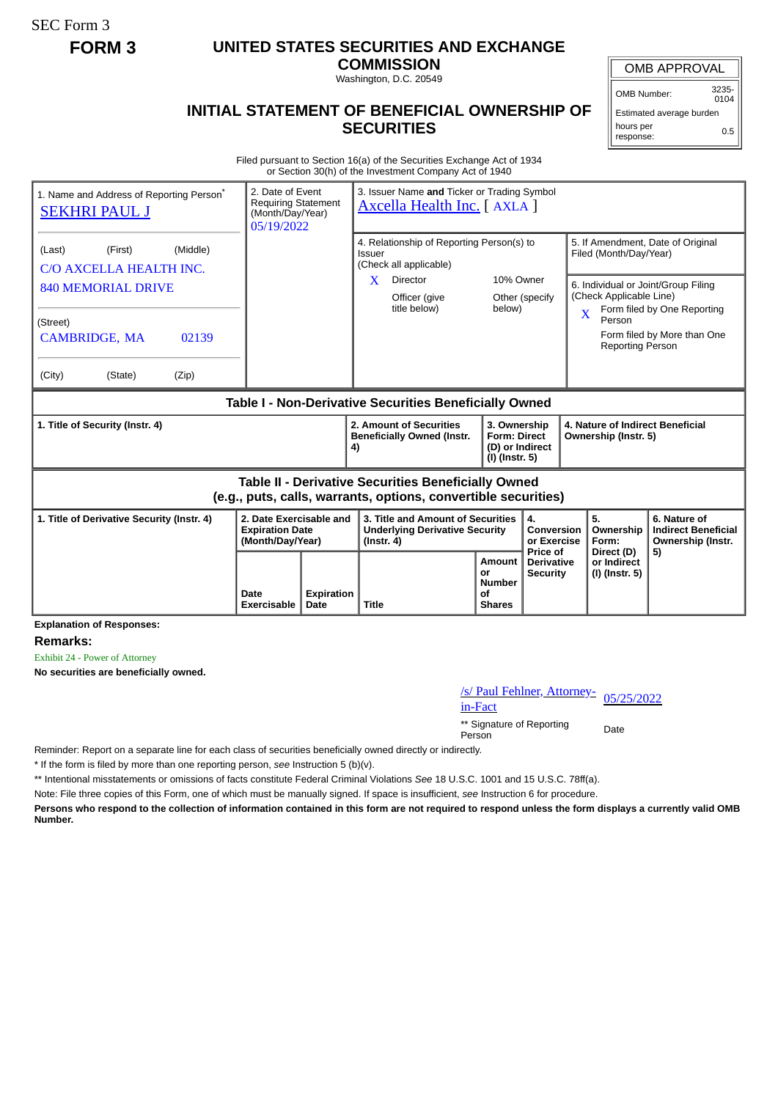SEC Form 3

## **FORM 3 UNITED STATES SECURITIES AND EXCHANGE**

**COMMISSION** Washington, D.C. 20549

OMB APPROVAL

OMB Number: 3235- 0104

Estimated average burden hours per response: 0.5

## **INITIAL STATEMENT OF BENEFICIAL OWNERSHIP OF SECURITIES**

Filed pursuant to Section 16(a) of the Securities Exchange Act of 1934 or Section 30(h) of the Investment Company Act of 1940

| 2. Date of Event<br>1. Name and Address of Reporting Person <sup>®</sup><br><b>Requiring Statement</b><br><b>SEKHRI PAUL J</b><br>(Month/Day/Year)<br>05/19/2022 |                                                                       | 3. Issuer Name and Ticker or Trading Symbol<br><b>Axcella Health Inc.</b> [AXLA ] |                                                                            |                                                  |                                                                                                               |                                                                 |
|------------------------------------------------------------------------------------------------------------------------------------------------------------------|-----------------------------------------------------------------------|-----------------------------------------------------------------------------------|----------------------------------------------------------------------------|--------------------------------------------------|---------------------------------------------------------------------------------------------------------------|-----------------------------------------------------------------|
| (First)<br>(Middle)<br>(Last)<br>C/O AXCELLA HEALTH INC.                                                                                                         |                                                                       | 4. Relationship of Reporting Person(s) to<br>Issuer<br>(Check all applicable)     |                                                                            |                                                  | 5. If Amendment, Date of Original<br>Filed (Month/Day/Year)                                                   |                                                                 |
| <b>840 MEMORIAL DRIVE</b>                                                                                                                                        |                                                                       | X<br><b>Director</b><br>Officer (give<br>title below)                             | 10% Owner<br>Other (specify<br>below)                                      |                                                  | 6. Individual or Joint/Group Filing<br>(Check Applicable Line)<br>Form filed by One Reporting<br>$\mathbf{X}$ |                                                                 |
| (Street)<br><b>CAMBRIDGE, MA</b><br>02139                                                                                                                        |                                                                       |                                                                                   |                                                                            |                                                  | Person<br><b>Reporting Person</b>                                                                             | Form filed by More than One                                     |
| (City)<br>(State)<br>(Zip)                                                                                                                                       |                                                                       |                                                                                   |                                                                            |                                                  |                                                                                                               |                                                                 |
| Table I - Non-Derivative Securities Beneficially Owned                                                                                                           |                                                                       |                                                                                   |                                                                            |                                                  |                                                                                                               |                                                                 |
| 1. Title of Security (Instr. 4)                                                                                                                                  |                                                                       | 2. Amount of Securities<br><b>Beneficially Owned (Instr.</b><br>4)                | 3. Ownership<br><b>Form: Direct</b><br>(D) or Indirect<br>(I) (Instr. 5)   |                                                  | 4. Nature of Indirect Beneficial<br>Ownership (Instr. 5)                                                      |                                                                 |
| Table II - Derivative Securities Beneficially Owned<br>(e.g., puts, calls, warrants, options, convertible securities)                                            |                                                                       |                                                                                   |                                                                            |                                                  |                                                                                                               |                                                                 |
| 1. Title of Derivative Security (Instr. 4)                                                                                                                       | 2. Date Exercisable and<br><b>Expiration Date</b><br>(Month/Day/Year) | $($ Instr. 4 $)$                                                                  | 3. Title and Amount of Securities<br><b>Underlying Derivative Security</b> |                                                  | 5.<br>Ownership<br><b>Conversion</b><br>Form:                                                                 | 6. Nature of<br><b>Indirect Beneficial</b><br>Ownership (Instr. |
|                                                                                                                                                                  | <b>Expiration</b><br>Date<br>Date<br>Exercisable                      | Title                                                                             | Amount<br>or<br><b>Number</b><br><b>of</b><br><b>Shares</b>                | Price of<br><b>Derivative</b><br><b>Security</b> | Direct (D)<br>or Indirect<br>(I) (Instr. 5)                                                                   | 5)                                                              |

**Explanation of Responses:**

**Remarks:**

Exhibit 24 - Power of Attorney

**No securities are beneficially owned.**

/s/ Paul Fehlner, Attorney-<br>in-Fact

\*\* Signature of Reporting Person Date

Reminder: Report on a separate line for each class of securities beneficially owned directly or indirectly.

\* If the form is filed by more than one reporting person, *see* Instruction 5 (b)(v).

\*\* Intentional misstatements or omissions of facts constitute Federal Criminal Violations *See* 18 U.S.C. 1001 and 15 U.S.C. 78ff(a).

Note: File three copies of this Form, one of which must be manually signed. If space is insufficient, *see* Instruction 6 for procedure.

**Persons who respond to the collection of information contained in this form are not required to respond unless the form displays a currently valid OMB Number.**